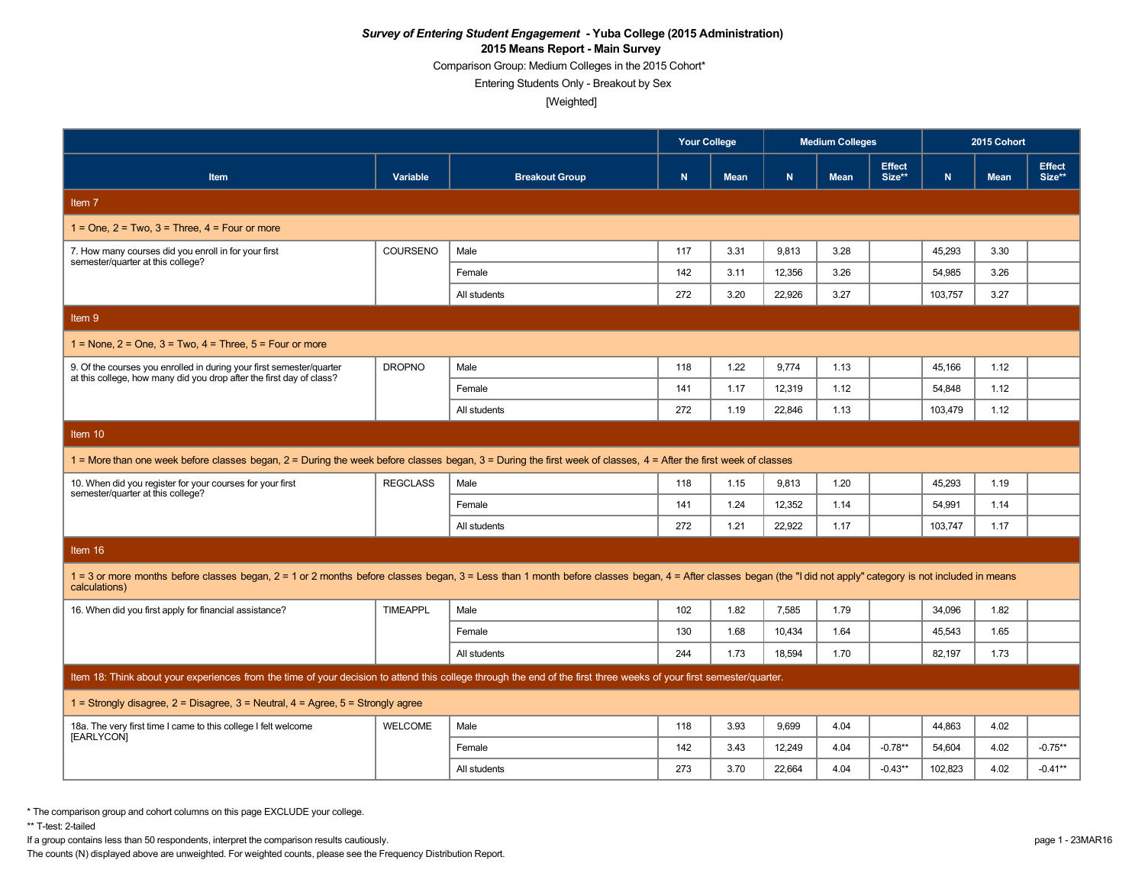Comparison Group: Medium Colleges in the 2015 Cohort\*

Entering Students Only - Breakout by Sex

[Weighted]

|                                                                                                                                                                                                                                  |                 |                       | <b>Your College</b> |      |        | <b>Medium Colleges</b> |                         | 2015 Cohort |             |                         |  |
|----------------------------------------------------------------------------------------------------------------------------------------------------------------------------------------------------------------------------------|-----------------|-----------------------|---------------------|------|--------|------------------------|-------------------------|-------------|-------------|-------------------------|--|
| Item                                                                                                                                                                                                                             | Variable        | <b>Breakout Group</b> | $\mathbf N$         | Mean | N      | <b>Mean</b>            | <b>Effect</b><br>Size** | N           | <b>Mean</b> | <b>Effect</b><br>Size** |  |
| Item 7                                                                                                                                                                                                                           |                 |                       |                     |      |        |                        |                         |             |             |                         |  |
| $1 =$ One, $2 =$ Two, $3 =$ Three, $4 =$ Four or more                                                                                                                                                                            |                 |                       |                     |      |        |                        |                         |             |             |                         |  |
| 7. How many courses did you enroll in for your first<br>semester/quarter at this college?                                                                                                                                        | COURSENO        | Male                  | 117                 | 3.31 | 9.813  | 3.28                   |                         | 45.293      | 3.30        |                         |  |
|                                                                                                                                                                                                                                  |                 | Female                | 142                 | 3.11 | 12.356 | 3.26                   |                         | 54.985      | 3.26        |                         |  |
|                                                                                                                                                                                                                                  |                 | All students          | 272                 | 3.20 | 22.926 | 3.27                   |                         | 103.757     | 3.27        |                         |  |
| Item 9                                                                                                                                                                                                                           |                 |                       |                     |      |        |                        |                         |             |             |                         |  |
| $1 =$ None, $2 =$ One, $3 =$ Two, $4 =$ Three, $5 =$ Four or more                                                                                                                                                                |                 |                       |                     |      |        |                        |                         |             |             |                         |  |
| 9. Of the courses you enrolled in during your first semester/quarter                                                                                                                                                             | <b>DROPNO</b>   | Male                  | 118                 | 1.22 | 9,774  | 1.13                   |                         | 45,166      | 1.12        |                         |  |
| at this college, how many did you drop after the first day of class?                                                                                                                                                             |                 | Female                | 141                 | 1.17 | 12,319 | 1.12                   |                         | 54,848      | 1.12        |                         |  |
|                                                                                                                                                                                                                                  |                 | All students          | 272                 | 1.19 | 22,846 | 1.13                   |                         | 103,479     | 1.12        |                         |  |
| Item 10                                                                                                                                                                                                                          |                 |                       |                     |      |        |                        |                         |             |             |                         |  |
| 1 = More than one week before classes began, 2 = During the week before classes began, 3 = During the first week of classes, 4 = After the first week of classes                                                                 |                 |                       |                     |      |        |                        |                         |             |             |                         |  |
| 10. When did you register for your courses for your first<br>semester/quarter at this college?                                                                                                                                   | <b>REGCLASS</b> | Male                  | 118                 | 1.15 | 9,813  | 1.20                   |                         | 45,293      | 1.19        |                         |  |
|                                                                                                                                                                                                                                  |                 | Female                | 141                 | 1.24 | 12,352 | 1.14                   |                         | 54,991      | 1.14        |                         |  |
|                                                                                                                                                                                                                                  |                 | All students          | 272                 | 1.21 | 22.922 | 1.17                   |                         | 103,747     | 1.17        |                         |  |
| Item 16                                                                                                                                                                                                                          |                 |                       |                     |      |        |                        |                         |             |             |                         |  |
| 1 = 3 or more months before classes began, 2 = 1 or 2 months before classes began, 3 = Less than 1 month before classes began, 4 = After classes began (the "I did not apply" category is not included in means<br>calculations) |                 |                       |                     |      |        |                        |                         |             |             |                         |  |
| 16. When did you first apply for financial assistance?                                                                                                                                                                           | <b>TIMEAPPL</b> | Male                  | 102                 | 1.82 | 7,585  | 1.79                   |                         | 34,096      | 1.82        |                         |  |
|                                                                                                                                                                                                                                  |                 | Female                | 130                 | 1.68 | 10,434 | 1.64                   |                         | 45,543      | 1.65        |                         |  |
|                                                                                                                                                                                                                                  |                 | All students          | 244                 | 1.73 | 18.594 | 1.70                   |                         | 82.197      | 1.73        |                         |  |
| Item 18: Think about your experiences from the time of your decision to attend this college through the end of the first three weeks of your first semester/quarter.                                                             |                 |                       |                     |      |        |                        |                         |             |             |                         |  |
| 1 = Strongly disagree, $2$ = Disagree, $3$ = Neutral, $4$ = Agree, $5$ = Strongly agree                                                                                                                                          |                 |                       |                     |      |        |                        |                         |             |             |                         |  |
| 18a. The very first time I came to this college I felt welcome<br>[EARLYCON]                                                                                                                                                     | <b>WELCOME</b>  | Male                  | 118                 | 3.93 | 9.699  | 4.04                   |                         | 44,863      | 4.02        |                         |  |
|                                                                                                                                                                                                                                  |                 | Female                | 142                 | 3.43 | 12,249 | 4.04                   | $-0.78**$               | 54,604      | 4.02        | $-0.75**$               |  |
|                                                                                                                                                                                                                                  |                 | All students          | 273                 | 3.70 | 22.664 | 4.04                   | $-0.43**$               | 102.823     | 4.02        | $-0.41**$               |  |

\* The comparison group and cohort columns on this page EXCLUDE your college.

\*\* T-test: 2-tailed

If a group contains less than 50 respondents, interpret the comparison results cautiously. page 1 - 23MAR16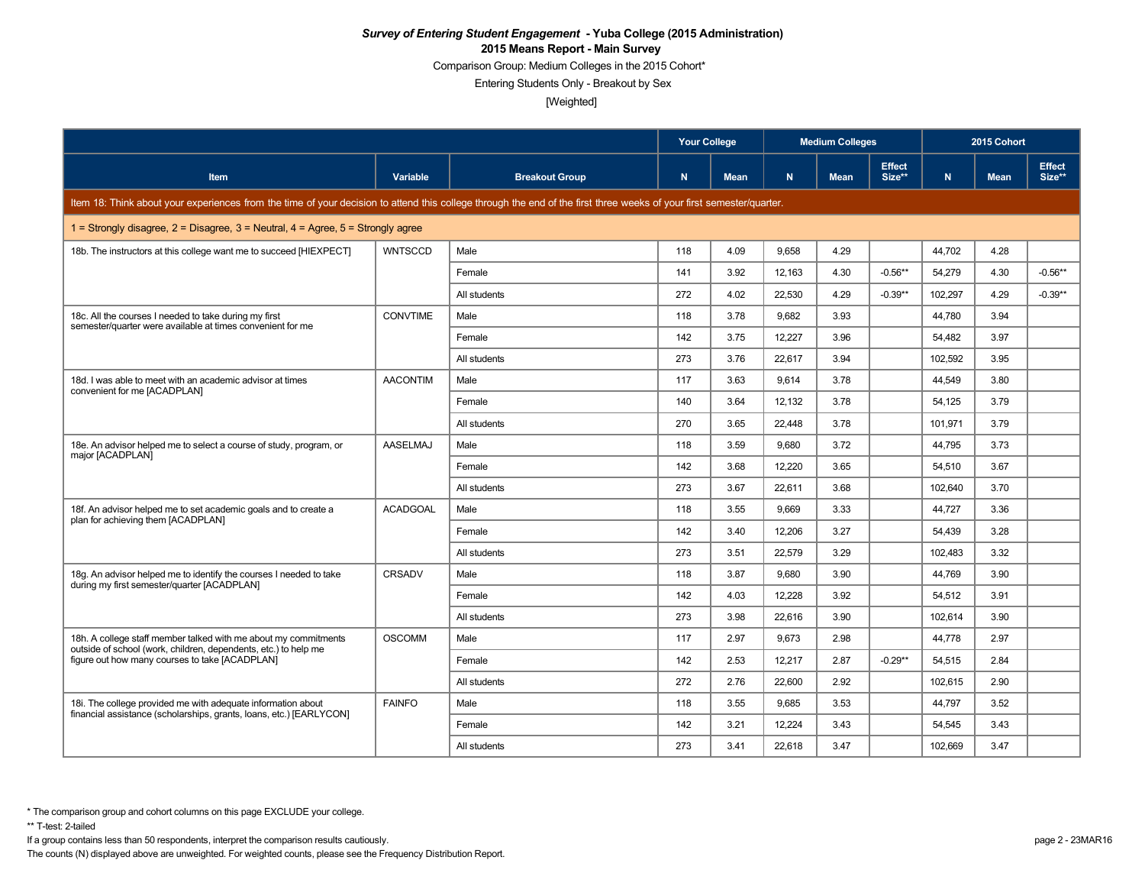Comparison Group: Medium Colleges in the 2015 Cohort\*

Entering Students Only - Breakout by Sex

[Weighted]

|                                                                                                                                                                      |                 |                       | <b>Your College</b> |             | <b>Medium Colleges</b> |             |                         | 2015 Cohort |             |                         |
|----------------------------------------------------------------------------------------------------------------------------------------------------------------------|-----------------|-----------------------|---------------------|-------------|------------------------|-------------|-------------------------|-------------|-------------|-------------------------|
| <b>Item</b>                                                                                                                                                          | Variable        | <b>Breakout Group</b> | N.                  | <b>Mean</b> | N                      | <b>Mean</b> | <b>Effect</b><br>Size** | N           | <b>Mean</b> | <b>Effect</b><br>Size** |
| Item 18: Think about your experiences from the time of your decision to attend this college through the end of the first three weeks of your first semester/quarter. |                 |                       |                     |             |                        |             |                         |             |             |                         |
| 1 = Strongly disagree, $2$ = Disagree, $3$ = Neutral, $4$ = Agree, $5$ = Strongly agree                                                                              |                 |                       |                     |             |                        |             |                         |             |             |                         |
| 18b. The instructors at this college want me to succeed [HIEXPECT]                                                                                                   | <b>WNTSCCD</b>  | Male                  | 118                 | 4.09        | 9,658                  | 4.29        |                         | 44,702      | 4.28        |                         |
|                                                                                                                                                                      |                 | Female                | 141                 | 3.92        | 12,163                 | 4.30        | $-0.56**$               | 54,279      | 4.30        | $-0.56**$               |
|                                                                                                                                                                      |                 | All students          | 272                 | 4.02        | 22.530                 | 4.29        | $-0.39**$               | 102.297     | 4.29        | $-0.39**$               |
| 18c. All the courses I needed to take during my first<br>semester/quarter were available at times convenient for me                                                  | <b>CONVTIME</b> | Male                  | 118                 | 3.78        | 9,682                  | 3.93        |                         | 44,780      | 3.94        |                         |
|                                                                                                                                                                      |                 | Female                | 142                 | 3.75        | 12,227                 | 3.96        |                         | 54,482      | 3.97        |                         |
|                                                                                                                                                                      |                 | All students          | 273                 | 3.76        | 22,617                 | 3.94        |                         | 102,592     | 3.95        |                         |
| 18d. I was able to meet with an academic advisor at times                                                                                                            | <b>AACONTIM</b> | Male                  | 117                 | 3.63        | 9.614                  | 3.78        |                         | 44.549      | 3.80        |                         |
| convenient for me [ACADPLAN]                                                                                                                                         |                 | Female                | 140                 | 3.64        | 12,132                 | 3.78        |                         | 54,125      | 3.79        |                         |
|                                                                                                                                                                      |                 | All students          | 270                 | 3.65        | 22,448                 | 3.78        |                         | 101,971     | 3.79        |                         |
| 18e. An advisor helped me to select a course of study, program, or                                                                                                   | AASELMAJ        | Male                  | 118                 | 3.59        | 9.680                  | 3.72        |                         | 44,795      | 3.73        |                         |
| major [ACADPLAN]                                                                                                                                                     |                 | Female                | 142                 | 3.68        | 12,220                 | 3.65        |                         | 54,510      | 3.67        |                         |
|                                                                                                                                                                      |                 | All students          | 273                 | 3.67        | 22.611                 | 3.68        |                         | 102,640     | 3.70        |                         |
| 18f. An advisor helped me to set academic goals and to create a                                                                                                      | <b>ACADGOAL</b> | Male                  | 118                 | 3.55        | 9,669                  | 3.33        |                         | 44,727      | 3.36        |                         |
| plan for achieving them [ACADPLAN]                                                                                                                                   |                 | Female                | 142                 | 3.40        | 12.206                 | 3.27        |                         | 54.439      | 3.28        |                         |
|                                                                                                                                                                      |                 | All students          | 273                 | 3.51        | 22,579                 | 3.29        |                         | 102,483     | 3.32        |                         |
| 18g. An advisor helped me to identify the courses I needed to take                                                                                                   | <b>CRSADV</b>   | Male                  | 118                 | 3.87        | 9.680                  | 3.90        |                         | 44,769      | 3.90        |                         |
| during my first semester/quarter [ACADPLAN]                                                                                                                          |                 | Female                | 142                 | 4.03        | 12,228                 | 3.92        |                         | 54,512      | 3.91        |                         |
|                                                                                                                                                                      |                 | All students          | 273                 | 3.98        | 22.616                 | 3.90        |                         | 102.614     | 3.90        |                         |
| 18h. A college staff member talked with me about my commitments                                                                                                      | <b>OSCOMM</b>   | Male                  | 117                 | 2.97        | 9,673                  | 2.98        |                         | 44,778      | 2.97        |                         |
| outside of school (work, children, dependents, etc.) to help me<br>figure out how many courses to take [ACADPLAN]                                                    |                 | Female                | 142                 | 2.53        | 12,217                 | 2.87        | $-0.29**$               | 54,515      | 2.84        |                         |
|                                                                                                                                                                      |                 | All students          | 272                 | 2.76        | 22.600                 | 2.92        |                         | 102.615     | 2.90        |                         |
| 18i. The college provided me with adequate information about                                                                                                         | <b>FAINFO</b>   | Male                  | 118                 | 3.55        | 9,685                  | 3.53        |                         | 44,797      | 3.52        |                         |
| financial assistance (scholarships, grants, loans, etc.) [EARLYCON]                                                                                                  |                 | Female                | 142                 | 3.21        | 12.224                 | 3.43        |                         | 54,545      | 3.43        |                         |
|                                                                                                                                                                      |                 | All students          | 273                 | 3.41        | 22,618                 | 3.47        |                         | 102,669     | 3.47        |                         |

\*\* T-test: 2-tailed

If a group contains less than 50 respondents, interpret the comparison results cautiously. page 2 - 23MAR16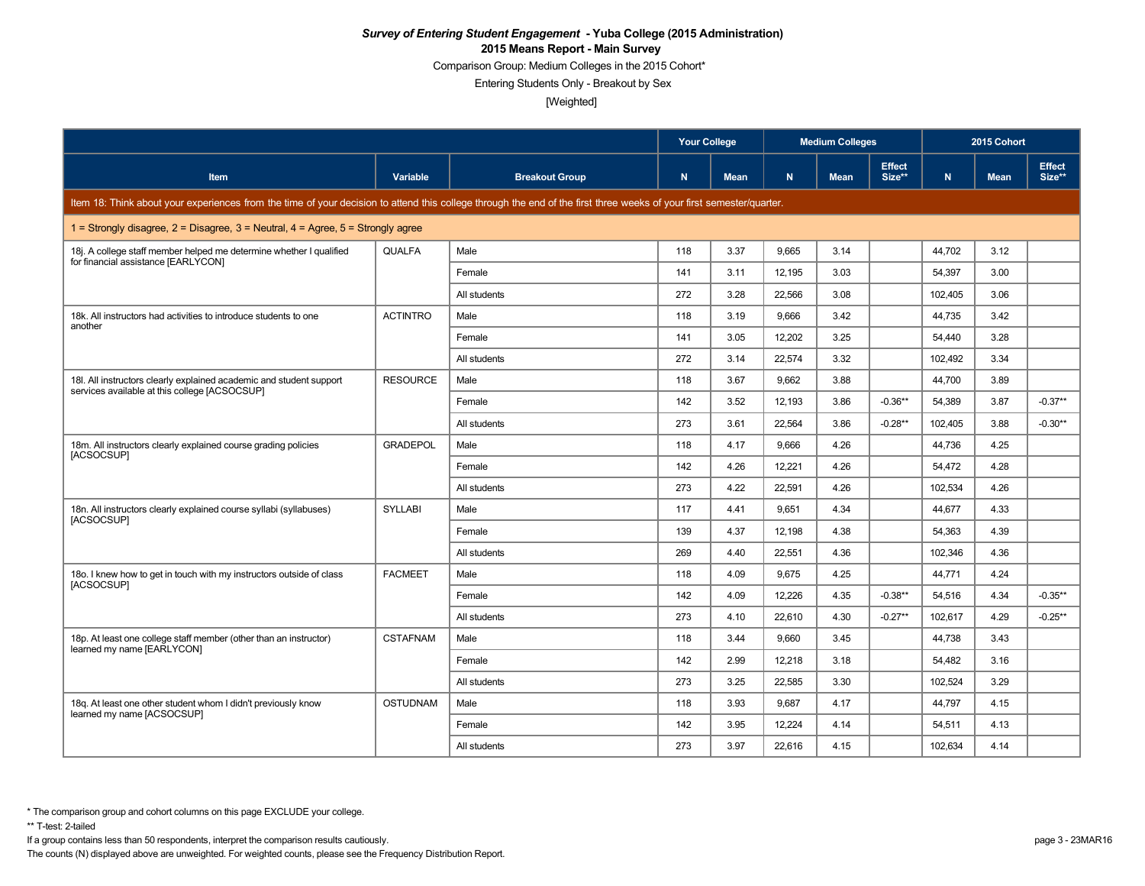Comparison Group: Medium Colleges in the 2015 Cohort\*

Entering Students Only - Breakout by Sex

[Weighted]

|                                                                                                                                                                      |                 |                       | <b>Your College</b> |             |        | <b>Medium Colleges</b> |                         | 2015 Cohort |             |                         |
|----------------------------------------------------------------------------------------------------------------------------------------------------------------------|-----------------|-----------------------|---------------------|-------------|--------|------------------------|-------------------------|-------------|-------------|-------------------------|
| Item                                                                                                                                                                 | Variable        | <b>Breakout Group</b> | N                   | <b>Mean</b> | N.     | <b>Mean</b>            | <b>Effect</b><br>Size** | N.          | <b>Mean</b> | <b>Effect</b><br>Size** |
| Item 18: Think about your experiences from the time of your decision to attend this college through the end of the first three weeks of your first semester/quarter. |                 |                       |                     |             |        |                        |                         |             |             |                         |
| 1 = Strongly disagree, $2$ = Disagree, $3$ = Neutral, $4$ = Agree, $5$ = Strongly agree                                                                              |                 |                       |                     |             |        |                        |                         |             |             |                         |
| 18j. A college staff member helped me determine whether I qualified<br>for financial assistance [EARLYCON]                                                           | QUALFA          | Male                  | 118                 | 3.37        | 9,665  | 3.14                   |                         | 44,702      | 3.12        |                         |
|                                                                                                                                                                      |                 | Female                | 141                 | 3.11        | 12,195 | 3.03                   |                         | 54,397      | 3.00        |                         |
|                                                                                                                                                                      |                 | All students          | 272                 | 3.28        | 22.566 | 3.08                   |                         | 102,405     | 3.06        |                         |
| 18k. All instructors had activities to introduce students to one<br>another                                                                                          | <b>ACTINTRO</b> | Male                  | 118                 | 3.19        | 9,666  | 3.42                   |                         | 44,735      | 3.42        |                         |
|                                                                                                                                                                      |                 | Female                | 141                 | 3.05        | 12,202 | 3.25                   |                         | 54,440      | 3.28        |                         |
|                                                                                                                                                                      |                 | All students          | 272                 | 3.14        | 22,574 | 3.32                   |                         | 102,492     | 3.34        |                         |
| 18I. All instructors clearly explained academic and student support                                                                                                  | <b>RESOURCE</b> | Male                  | 118                 | 3.67        | 9.662  | 3.88                   |                         | 44.700      | 3.89        |                         |
| services available at this college [ACSOCSUP]                                                                                                                        |                 | Female                | 142                 | 3.52        | 12,193 | 3.86                   | $-0.36**$               | 54,389      | 3.87        | $-0.37**$               |
|                                                                                                                                                                      |                 | All students          | 273                 | 3.61        | 22.564 | 3.86                   | $-0.28**$               | 102,405     | 3.88        | $-0.30**$               |
| 18m. All instructors clearly explained course grading policies                                                                                                       | <b>GRADEPOL</b> | Male                  | 118                 | 4.17        | 9.666  | 4.26                   |                         | 44,736      | 4.25        |                         |
| [ACSOCSUP]                                                                                                                                                           |                 | Female                | 142                 | 4.26        | 12,221 | 4.26                   |                         | 54,472      | 4.28        |                         |
|                                                                                                                                                                      |                 | All students          | 273                 | 4.22        | 22,591 | 4.26                   |                         | 102,534     | 4.26        |                         |
| 18n. All instructors clearly explained course syllabi (syllabuses)                                                                                                   | <b>SYLLABI</b>  | Male                  | 117                 | 4.41        | 9,651  | 4.34                   |                         | 44,677      | 4.33        |                         |
| [ACSOCSUP]                                                                                                                                                           |                 | Female                | 139                 | 4.37        | 12.198 | 4.38                   |                         | 54.363      | 4.39        |                         |
|                                                                                                                                                                      |                 | All students          | 269                 | 4.40        | 22,551 | 4.36                   |                         | 102,346     | 4.36        |                         |
| 180. I knew how to get in touch with my instructors outside of class                                                                                                 | <b>FACMEET</b>  | Male                  | 118                 | 4.09        | 9.675  | 4.25                   |                         | 44,771      | 4.24        |                         |
| [ACSOCSUP]                                                                                                                                                           |                 | Female                | 142                 | 4.09        | 12,226 | 4.35                   | $-0.38**$               | 54,516      | 4.34        | $-0.35**$               |
|                                                                                                                                                                      |                 | All students          | 273                 | 4.10        | 22.610 | 4.30                   | $-0.27**$               | 102,617     | 4.29        | $-0.25**$               |
| 18p. At least one college staff member (other than an instructor)                                                                                                    | <b>CSTAFNAM</b> | Male                  | 118                 | 3.44        | 9.660  | 3.45                   |                         | 44,738      | 3.43        |                         |
| learned my name [EARLYCON]                                                                                                                                           |                 | Female                | 142                 | 2.99        | 12,218 | 3.18                   |                         | 54,482      | 3.16        |                         |
|                                                                                                                                                                      |                 | All students          | 273                 | 3.25        | 22.585 | 3.30                   |                         | 102,524     | 3.29        |                         |
| 18q. At least one other student whom I didn't previously know                                                                                                        | <b>OSTUDNAM</b> | Male                  | 118                 | 3.93        | 9,687  | 4.17                   |                         | 44,797      | 4.15        |                         |
| learned my name [ACSOCSUP]                                                                                                                                           |                 | Female                | 142                 | 3.95        | 12.224 | 4.14                   |                         | 54,511      | 4.13        |                         |
|                                                                                                                                                                      |                 | All students          | 273                 | 3.97        | 22,616 | 4.15                   |                         | 102,634     | 4.14        |                         |

\*\* T-test: 2-tailed

If a group contains less than 50 respondents, interpret the comparison results cautiously. page 3 - 23MAR16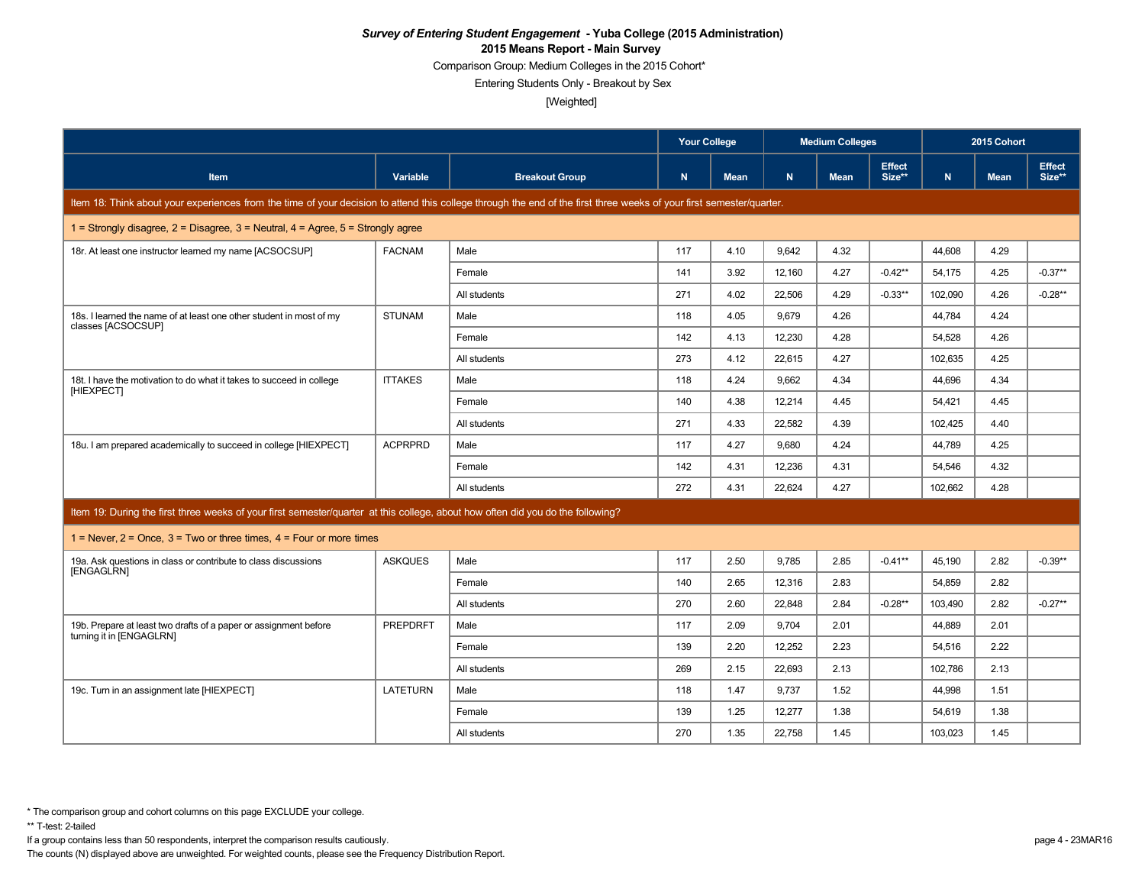Comparison Group: Medium Colleges in the 2015 Cohort\*

Entering Students Only - Breakout by Sex

[Weighted]

|                                                                                                                                                                      |                 |                       | <b>Your College</b> |             | <b>Medium Colleges</b> |             |                         | 2015 Cohort |             |                         |
|----------------------------------------------------------------------------------------------------------------------------------------------------------------------|-----------------|-----------------------|---------------------|-------------|------------------------|-------------|-------------------------|-------------|-------------|-------------------------|
| <b>Item</b>                                                                                                                                                          | Variable        | <b>Breakout Group</b> | N                   | <b>Mean</b> | N                      | <b>Mean</b> | <b>Effect</b><br>Size** | N.          | <b>Mean</b> | <b>Effect</b><br>Size** |
| Item 18: Think about your experiences from the time of your decision to attend this college through the end of the first three weeks of your first semester/quarter. |                 |                       |                     |             |                        |             |                         |             |             |                         |
| 1 = Strongly disagree, $2$ = Disagree, $3$ = Neutral, $4$ = Agree, $5$ = Strongly agree                                                                              |                 |                       |                     |             |                        |             |                         |             |             |                         |
| 18r. At least one instructor learned my name [ACSOCSUP]                                                                                                              | <b>FACNAM</b>   | Male                  | 117                 | 4.10        | 9.642                  | 4.32        |                         | 44.608      | 4.29        |                         |
|                                                                                                                                                                      |                 | Female                | 141                 | 3.92        | 12,160                 | 4.27        | $-0.42**$               | 54,175      | 4.25        | $-0.37**$               |
|                                                                                                                                                                      |                 | All students          | 271                 | 4.02        | 22.506                 | 4.29        | $-0.33**$               | 102.090     | 4.26        | $-0.28**$               |
| 18s. I learned the name of at least one other student in most of my<br>classes [ACSOCSUP]                                                                            | <b>STUNAM</b>   | Male                  | 118                 | 4.05        | 9.679                  | 4.26        |                         | 44.784      | 4.24        |                         |
|                                                                                                                                                                      |                 | Female                | 142                 | 4.13        | 12,230                 | 4.28        |                         | 54,528      | 4.26        |                         |
|                                                                                                                                                                      |                 | All students          | 273                 | 4.12        | 22,615                 | 4.27        |                         | 102,635     | 4.25        |                         |
| 18t. I have the motivation to do what it takes to succeed in college<br>[HIEXPECT]                                                                                   | <b>ITTAKES</b>  | Male                  | 118                 | 4.24        | 9,662                  | 4.34        |                         | 44,696      | 4.34        |                         |
|                                                                                                                                                                      |                 | Female                | 140                 | 4.38        | 12.214                 | 4.45        |                         | 54.421      | 4.45        |                         |
|                                                                                                                                                                      |                 | All students          | 271                 | 4.33        | 22.582                 | 4.39        |                         | 102.425     | 4.40        |                         |
| 18u. I am prepared academically to succeed in college [HIEXPECT]                                                                                                     | <b>ACPRPRD</b>  | Male                  | 117                 | 4.27        | 9.680                  | 4.24        |                         | 44,789      | 4.25        |                         |
|                                                                                                                                                                      |                 | Female                | 142                 | 4.31        | 12,236                 | 4.31        |                         | 54,546      | 4.32        |                         |
|                                                                                                                                                                      |                 | All students          | 272                 | 4.31        | 22,624                 | 4.27        |                         | 102.662     | 4.28        |                         |
| Item 19: During the first three weeks of your first semester/quarter at this college, about how often did you do the following?                                      |                 |                       |                     |             |                        |             |                         |             |             |                         |
| 1 = Never, $2$ = Once, $3$ = Two or three times, $4$ = Four or more times                                                                                            |                 |                       |                     |             |                        |             |                         |             |             |                         |
| 19a. Ask questions in class or contribute to class discussions                                                                                                       | <b>ASKQUES</b>  | Male                  | 117                 | 2.50        | 9,785                  | 2.85        | $-0.41**$               | 45,190      | 2.82        | $-0.39**$               |
| [ENGAGLRN]                                                                                                                                                           |                 | Female                | 140                 | 2.65        | 12,316                 | 2.83        |                         | 54,859      | 2.82        |                         |
|                                                                                                                                                                      |                 | All students          | 270                 | 2.60        | 22,848                 | 2.84        | $-0.28**$               | 103,490     | 2.82        | $-0.27**$               |
| 19b. Prepare at least two drafts of a paper or assignment before                                                                                                     | <b>PREPDRFT</b> | Male                  | 117                 | 2.09        | 9.704                  | 2.01        |                         | 44,889      | 2.01        |                         |
| turning it in [ENGAGLRN]                                                                                                                                             |                 | Female                | 139                 | 2.20        | 12,252                 | 2.23        |                         | 54,516      | 2.22        |                         |
|                                                                                                                                                                      |                 | All students          | 269                 | 2.15        | 22,693                 | 2.13        |                         | 102,786     | 2.13        |                         |
| 19c. Turn in an assignment late [HIEXPECT]                                                                                                                           | <b>LATETURN</b> | Male                  | 118                 | 1.47        | 9.737                  | 1.52        |                         | 44,998      | 1.51        |                         |
|                                                                                                                                                                      |                 | Female                | 139                 | 1.25        | 12,277                 | 1.38        |                         | 54,619      | 1.38        |                         |
|                                                                                                                                                                      |                 | All students          | 270                 | 1.35        | 22,758                 | 1.45        |                         | 103,023     | 1.45        |                         |

\*\* T-test: 2-tailed

If a group contains less than 50 respondents, interpret the comparison results cautiously. page 4 - 23MAR16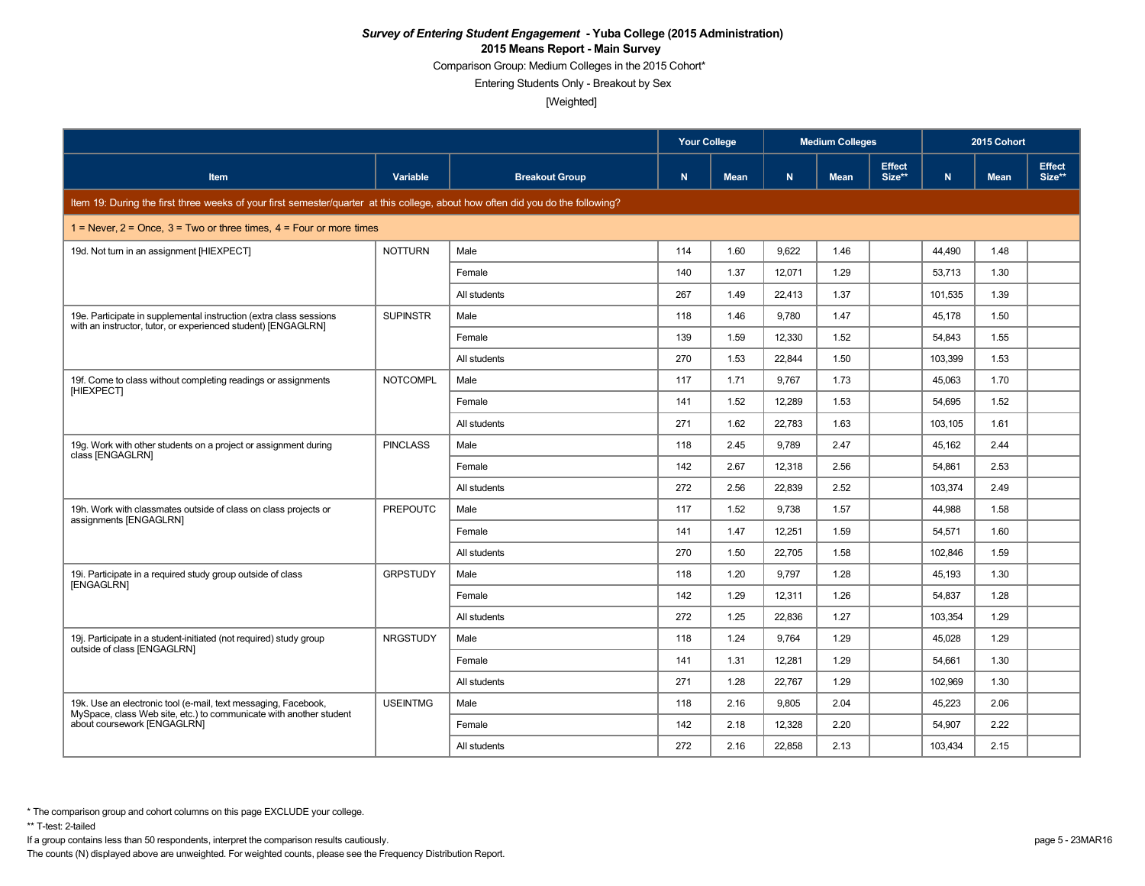Comparison Group: Medium Colleges in the 2015 Cohort\*

Entering Students Only - Breakout by Sex

[Weighted]

|                                                                                                                                     |                 |                       | <b>Your College</b> |             |        | <b>Medium Colleges</b> |                         | 2015 Cohort |             |                         |
|-------------------------------------------------------------------------------------------------------------------------------------|-----------------|-----------------------|---------------------|-------------|--------|------------------------|-------------------------|-------------|-------------|-------------------------|
| Item                                                                                                                                | Variable        | <b>Breakout Group</b> | N                   | <b>Mean</b> | N.     | <b>Mean</b>            | <b>Effect</b><br>Size** | N           | <b>Mean</b> | <b>Effect</b><br>Size** |
| Item 19: During the first three weeks of your first semester/quarter at this college, about how often did you do the following?     |                 |                       |                     |             |        |                        |                         |             |             |                         |
| 1 = Never, $2$ = Once, $3$ = Two or three times, $4$ = Four or more times                                                           |                 |                       |                     |             |        |                        |                         |             |             |                         |
| 19d. Not turn in an assignment [HIEXPECT]                                                                                           | <b>NOTTURN</b>  | Male                  | 114                 | 1.60        | 9,622  | 1.46                   |                         | 44,490      | 1.48        |                         |
|                                                                                                                                     |                 | Female                | 140                 | 1.37        | 12,071 | 1.29                   |                         | 53,713      | 1.30        |                         |
|                                                                                                                                     |                 | All students          | 267                 | 1.49        | 22,413 | 1.37                   |                         | 101,535     | 1.39        |                         |
| 19e. Participate in supplemental instruction (extra class sessions<br>with an instructor, tutor, or experienced student) [ENGAGLRN] | <b>SUPINSTR</b> | Male                  | 118                 | 1.46        | 9,780  | 1.47                   |                         | 45,178      | 1.50        |                         |
|                                                                                                                                     |                 | Female                | 139                 | 1.59        | 12,330 | 1.52                   |                         | 54,843      | 1.55        |                         |
|                                                                                                                                     |                 | All students          | 270                 | 1.53        | 22.844 | 1.50                   |                         | 103.399     | 1.53        |                         |
| 19f. Come to class without completing readings or assignments                                                                       | <b>NOTCOMPL</b> | Male                  | 117                 | 1.71        | 9.767  | 1.73                   |                         | 45.063      | 1.70        |                         |
| <b>IHIEXPECTI</b>                                                                                                                   |                 | Female                | 141                 | 1.52        | 12,289 | 1.53                   |                         | 54,695      | 1.52        |                         |
|                                                                                                                                     |                 | All students          | 271                 | 1.62        | 22,783 | 1.63                   |                         | 103,105     | 1.61        |                         |
| 19g. Work with other students on a project or assignment during<br>class [ENGAGLRN]                                                 | <b>PINCLASS</b> | Male                  | 118                 | 2.45        | 9.789  | 2.47                   |                         | 45.162      | 2.44        |                         |
|                                                                                                                                     |                 | Female                | 142                 | 2.67        | 12,318 | 2.56                   |                         | 54,861      | 2.53        |                         |
|                                                                                                                                     |                 | All students          | 272                 | 2.56        | 22,839 | 2.52                   |                         | 103,374     | 2.49        |                         |
| 19h. Work with classmates outside of class on class projects or<br>assignments [ENGAGLRN]                                           | <b>PREPOUTC</b> | Male                  | 117                 | 1.52        | 9.738  | 1.57                   |                         | 44.988      | 1.58        |                         |
|                                                                                                                                     |                 | Female                | 141                 | 1.47        | 12,251 | 1.59                   |                         | 54,571      | 1.60        |                         |
|                                                                                                                                     |                 | All students          | 270                 | 1.50        | 22,705 | 1.58                   |                         | 102,846     | 1.59        |                         |
| 19i. Participate in a required study group outside of class<br>[ENGAGLRN]                                                           | <b>GRPSTUDY</b> | Male                  | 118                 | 1.20        | 9,797  | 1.28                   |                         | 45,193      | 1.30        |                         |
|                                                                                                                                     |                 | Female                | 142                 | 1.29        | 12.311 | 1.26                   |                         | 54,837      | 1.28        |                         |
|                                                                                                                                     |                 | All students          | 272                 | 1.25        | 22,836 | 1.27                   |                         | 103,354     | 1.29        |                         |
| 19. Participate in a student-initiated (not required) study group<br>outside of class [ENGAGLRN]                                    | <b>NRGSTUDY</b> | Male                  | 118                 | 1.24        | 9.764  | 1.29                   |                         | 45.028      | 1.29        |                         |
|                                                                                                                                     |                 | Female                | 141                 | 1.31        | 12,281 | 1.29                   |                         | 54,661      | 1.30        |                         |
|                                                                                                                                     |                 | All students          | 271                 | 1.28        | 22,767 | 1.29                   |                         | 102,969     | 1.30        |                         |
| 19k. Use an electronic tool (e-mail, text messaging, Facebook,                                                                      | <b>USEINTMG</b> | Male                  | 118                 | 2.16        | 9,805  | 2.04                   |                         | 45,223      | 2.06        |                         |
| MySpace, class Web site, etc.) to communicate with another student<br>about coursework [ENGAGLRN]                                   |                 | Female                | 142                 | 2.18        | 12,328 | 2.20                   |                         | 54,907      | 2.22        |                         |
|                                                                                                                                     |                 | All students          | 272                 | 2.16        | 22,858 | 2.13                   |                         | 103,434     | 2.15        |                         |

\*\* T-test: 2-tailed

If a group contains less than 50 respondents, interpret the comparison results cautiously. page 5 - 23MAR16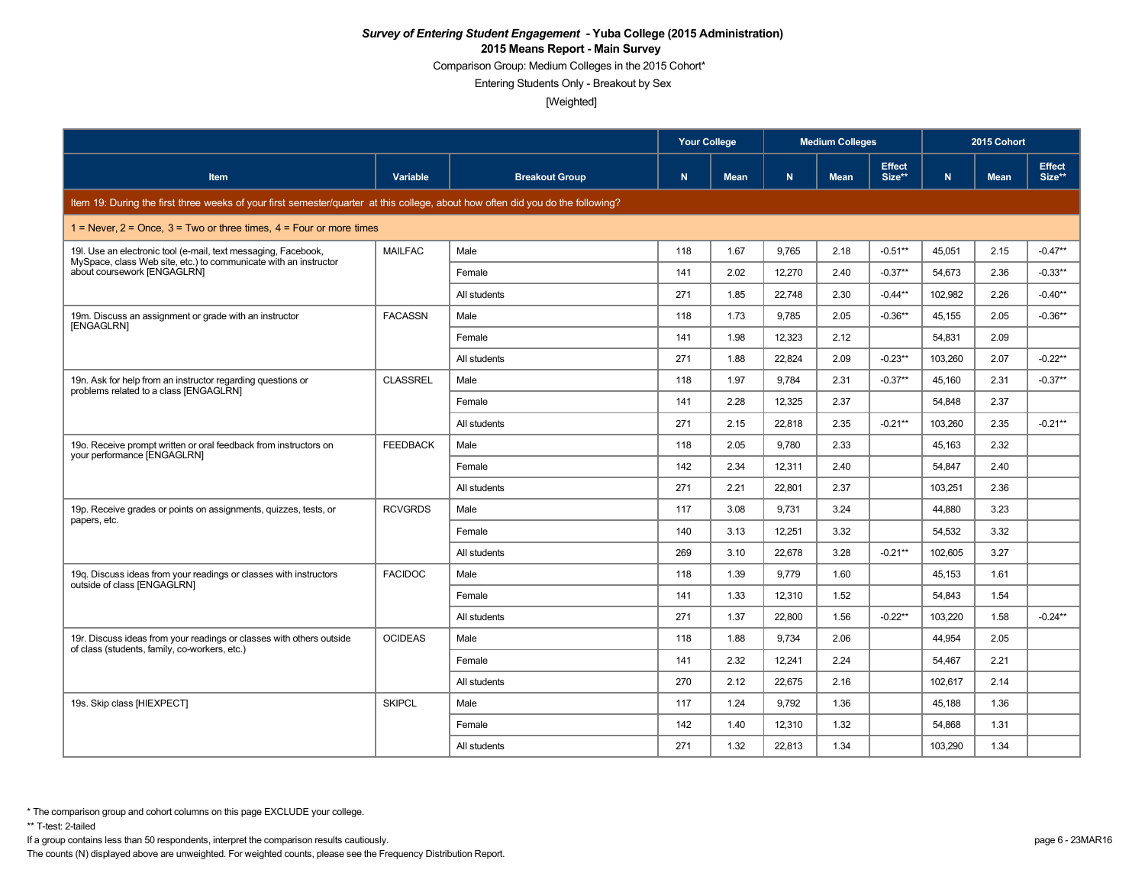Comparison Group: Medium Colleges in the 2015 Cohort\*

Entering Students Only - Breakout by Sex

[Weighted]

|                                                                                                                                    |                 |                       | Your College |             | <b>Medium Colleges</b> |             |                         | 2015 Cohort |             |                         |  |
|------------------------------------------------------------------------------------------------------------------------------------|-----------------|-----------------------|--------------|-------------|------------------------|-------------|-------------------------|-------------|-------------|-------------------------|--|
| Item                                                                                                                               | Variable        | <b>Breakout Group</b> | $\mathbf N$  | <b>Mean</b> | N                      | <b>Mean</b> | <b>Effect</b><br>Size** | N.          | <b>Mean</b> | <b>Effect</b><br>Size** |  |
| Item 19: During the first three weeks of your first semester/quarter at this college, about how often did you do the following?    |                 |                       |              |             |                        |             |                         |             |             |                         |  |
| 1 = Never, $2$ = Once, $3$ = Two or three times, $4$ = Four or more times                                                          |                 |                       |              |             |                        |             |                         |             |             |                         |  |
| 19I. Use an electronic tool (e-mail, text messaging, Facebook,<br>MySpace, class Web site, etc.) to communicate with an instructor | <b>MAILFAC</b>  | Male                  | 118          | 1.67        | 9,765                  | 2.18        | $-0.51**$               | 45,051      | 2.15        | $-0.47**$               |  |
| about coursework [ENGAGLRN]                                                                                                        |                 | Female                | 141          | 2.02        | 12,270                 | 2.40        | $-0.37**$               | 54,673      | 2.36        | $-0.33**$               |  |
|                                                                                                                                    |                 | All students          | 271          | 1.85        | 22,748                 | 2.30        | $-0.44**$               | 102,982     | 2.26        | $-0.40**$               |  |
| 19m. Discuss an assignment or grade with an instructor<br><b>IENGAGLRN1</b>                                                        | <b>FACASSN</b>  | Male                  | 118          | 1.73        | 9,785                  | 2.05        | $-0.36**$               | 45,155      | 2.05        | $-0.36**$               |  |
|                                                                                                                                    |                 | Female                | 141          | 1.98        | 12,323                 | 2.12        |                         | 54,831      | 2.09        |                         |  |
|                                                                                                                                    |                 | All students          | 271          | 1.88        | 22,824                 | 2.09        | $-0.23**$               | 103,260     | 2.07        | $-0.22**$               |  |
| 19n. Ask for help from an instructor regarding questions or                                                                        | <b>CLASSREL</b> | Male                  | 118          | 1.97        | 9.784                  | 2.31        | $-0.37**$               | 45.160      | 2.31        | $-0.37**$               |  |
| problems related to a class [ENGAGLRN]                                                                                             |                 | Female                | 141          | 2.28        | 12,325                 | 2.37        |                         | 54,848      | 2.37        |                         |  |
|                                                                                                                                    |                 | All students          | 271          | 2.15        | 22.818                 | 2.35        | $-0.21**$               | 103.260     | 2.35        | $-0.21**$               |  |
| 190. Receive prompt written or oral feedback from instructors on<br>your performance [ENGAGLRN]                                    | <b>FEEDBACK</b> | Male                  | 118          | 2.05        | 9.780                  | 2.33        |                         | 45,163      | 2.32        |                         |  |
|                                                                                                                                    |                 | Female                | 142          | 2.34        | 12,311                 | 2.40        |                         | 54.847      | 2.40        |                         |  |
|                                                                                                                                    |                 | All students          | 271          | 2.21        | 22,801                 | 2.37        |                         | 103,251     | 2.36        |                         |  |
| 19p. Receive grades or points on assignments, guizzes, tests, or                                                                   | <b>RCVGRDS</b>  | Male                  | 117          | 3.08        | 9.731                  | 3.24        |                         | 44.880      | 3.23        |                         |  |
| papers, etc.                                                                                                                       |                 | Female                | 140          | 3.13        | 12,251                 | 3.32        |                         | 54,532      | 3.32        |                         |  |
|                                                                                                                                    |                 | All students          | 269          | 3.10        | 22,678                 | 3.28        | $-0.21**$               | 102,605     | 3.27        |                         |  |
| 19q. Discuss ideas from your readings or classes with instructors                                                                  | <b>FACIDOC</b>  | Male                  | 118          | 1.39        | 9,779                  | 1.60        |                         | 45,153      | 1.61        |                         |  |
| outside of class [ENGAGLRN]                                                                                                        |                 | Female                | 141          | 1.33        | 12.310                 | 1.52        |                         | 54.843      | 1.54        |                         |  |
|                                                                                                                                    |                 | All students          | 271          | 1.37        | 22,800                 | 1.56        | $-0.22**$               | 103,220     | 1.58        | $-0.24**$               |  |
| 19r. Discuss ideas from your readings or classes with others outside                                                               | <b>OCIDEAS</b>  | Male                  | 118          | 1.88        | 9.734                  | 2.06        |                         | 44,954      | 2.05        |                         |  |
| of class (students, family, co-workers, etc.)                                                                                      |                 | Female                | 141          | 2.32        | 12.241                 | 2.24        |                         | 54,467      | 2.21        |                         |  |
|                                                                                                                                    |                 | All students          | 270          | 2.12        | 22.675                 | 2.16        |                         | 102.617     | 2.14        |                         |  |
| 19s. Skip class [HIEXPECT]                                                                                                         | <b>SKIPCL</b>   | Male                  | 117          | 1.24        | 9,792                  | 1.36        |                         | 45,188      | 1.36        |                         |  |
|                                                                                                                                    |                 | Female                | 142          | 1.40        | 12,310                 | 1.32        |                         | 54,868      | 1.31        |                         |  |
|                                                                                                                                    |                 | All students          | 271          | 1.32        | 22,813                 | 1.34        |                         | 103,290     | 1.34        |                         |  |

\*\* T-test: 2-tailed

If a group contains less than 50 respondents, interpret the comparison results cautiously. page 6 - 23MAR16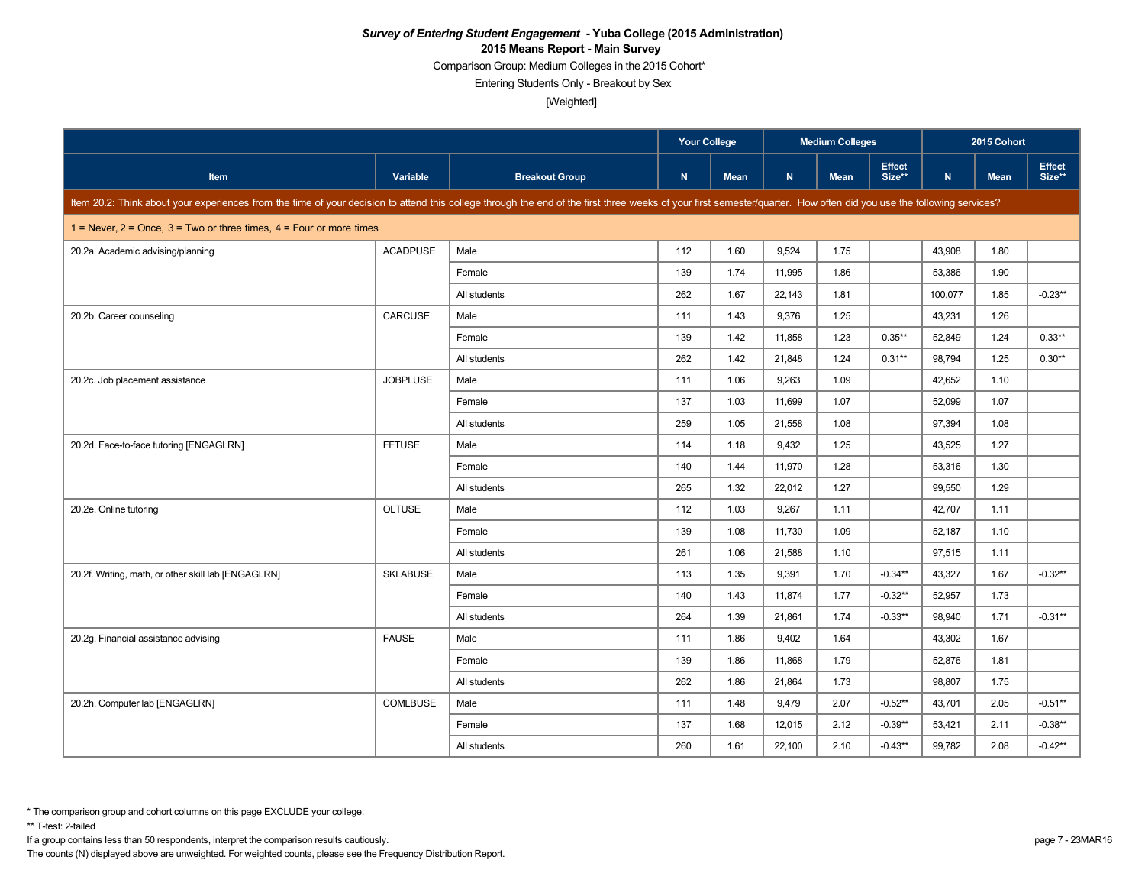Comparison Group: Medium Colleges in the 2015 Cohort\*

Entering Students Only - Breakout by Sex

[Weighted]

|                                                                                                                                                                                                                      |                 | <b>Your College</b>   |              | <b>Medium Colleges</b> |        |             | 2015 Cohort             |         |             |                  |
|----------------------------------------------------------------------------------------------------------------------------------------------------------------------------------------------------------------------|-----------------|-----------------------|--------------|------------------------|--------|-------------|-------------------------|---------|-------------|------------------|
| <b>Item</b>                                                                                                                                                                                                          | Variable        | <b>Breakout Group</b> | $\mathsf{N}$ | <b>Mean</b>            | N      | <b>Mean</b> | <b>Effect</b><br>Size** | N       | <b>Mean</b> | Effect<br>Size** |
| Item 20.2: Think about your experiences from the time of your decision to attend this college through the end of the first three weeks of your first semester/quarter. How often did you use the following services? |                 |                       |              |                        |        |             |                         |         |             |                  |
| 1 = Never, $2$ = Once, $3$ = Two or three times, $4$ = Four or more times                                                                                                                                            |                 |                       |              |                        |        |             |                         |         |             |                  |
| 20.2a. Academic advising/planning                                                                                                                                                                                    | <b>ACADPUSE</b> | Male                  | 112          | 1.60                   | 9,524  | 1.75        |                         | 43,908  | 1.80        |                  |
|                                                                                                                                                                                                                      |                 | Female                | 139          | 1.74                   | 11,995 | 1.86        |                         | 53,386  | 1.90        |                  |
|                                                                                                                                                                                                                      |                 | All students          | 262          | 1.67                   | 22,143 | 1.81        |                         | 100,077 | 1.85        | $-0.23**$        |
| 20.2b. Career counseling                                                                                                                                                                                             | CARCUSE         | Male                  | 111          | 1.43                   | 9,376  | 1.25        |                         | 43,231  | 1.26        |                  |
|                                                                                                                                                                                                                      |                 | Female                | 139          | 1.42                   | 11,858 | 1.23        | $0.35***$               | 52,849  | 1.24        | $0.33**$         |
|                                                                                                                                                                                                                      |                 | All students          | 262          | 1.42                   | 21,848 | 1.24        | $0.31**$                | 98,794  | 1.25        | $0.30**$         |
| 20.2c. Job placement assistance                                                                                                                                                                                      | <b>JOBPLUSE</b> | Male                  | 111          | 1.06                   | 9,263  | 1.09        |                         | 42,652  | 1.10        |                  |
|                                                                                                                                                                                                                      |                 | Female                | 137          | 1.03                   | 11,699 | 1.07        |                         | 52,099  | 1.07        |                  |
|                                                                                                                                                                                                                      |                 | All students          | 259          | 1.05                   | 21,558 | 1.08        |                         | 97,394  | 1.08        |                  |
| 20.2d. Face-to-face tutoring [ENGAGLRN]                                                                                                                                                                              | <b>FFTUSE</b>   | Male                  | 114          | 1.18                   | 9,432  | 1.25        |                         | 43,525  | 1.27        |                  |
|                                                                                                                                                                                                                      |                 | Female                | 140          | 1.44                   | 11,970 | 1.28        |                         | 53,316  | 1.30        |                  |
|                                                                                                                                                                                                                      |                 | All students          | 265          | 1.32                   | 22,012 | 1.27        |                         | 99,550  | 1.29        |                  |
| 20.2e. Online tutoring                                                                                                                                                                                               | <b>OLTUSE</b>   | Male                  | 112          | 1.03                   | 9,267  | 1.11        |                         | 42,707  | 1.11        |                  |
|                                                                                                                                                                                                                      |                 | Female                | 139          | 1.08                   | 11,730 | 1.09        |                         | 52,187  | 1.10        |                  |
|                                                                                                                                                                                                                      |                 | All students          | 261          | 1.06                   | 21,588 | 1.10        |                         | 97,515  | 1.11        |                  |
| 20.2f. Writing, math, or other skill lab [ENGAGLRN]                                                                                                                                                                  | <b>SKLABUSE</b> | Male                  | 113          | 1.35                   | 9,391  | 1.70        | $-0.34**$               | 43,327  | 1.67        | $-0.32**$        |
|                                                                                                                                                                                                                      |                 | Female                | 140          | 1.43                   | 11.874 | 1.77        | $-0.32**$               | 52,957  | 1.73        |                  |
|                                                                                                                                                                                                                      |                 | All students          | 264          | 1.39                   | 21,861 | 1.74        | $-0.33**$               | 98,940  | 1.71        | $-0.31**$        |
| 20.2g. Financial assistance advising                                                                                                                                                                                 | <b>FAUSE</b>    | Male                  | 111          | 1.86                   | 9,402  | 1.64        |                         | 43,302  | 1.67        |                  |
|                                                                                                                                                                                                                      |                 | Female                | 139          | 1.86                   | 11,868 | 1.79        |                         | 52,876  | 1.81        |                  |
|                                                                                                                                                                                                                      |                 | All students          | 262          | 1.86                   | 21,864 | 1.73        |                         | 98,807  | 1.75        |                  |
| 20.2h. Computer lab [ENGAGLRN]                                                                                                                                                                                       | <b>COMLBUSE</b> | Male                  | 111          | 1.48                   | 9,479  | 2.07        | $-0.52**$               | 43,701  | 2.05        | $-0.51**$        |
|                                                                                                                                                                                                                      |                 | Female                | 137          | 1.68                   | 12,015 | 2.12        | $-0.39**$               | 53,421  | 2.11        | $-0.38**$        |
|                                                                                                                                                                                                                      |                 | All students          | 260          | 1.61                   | 22,100 | 2.10        | $-0.43**$               | 99,782  | 2.08        | $-0.42**$        |

\*\* T-test: 2-tailed

If a group contains less than 50 respondents, interpret the comparison results cautiously. page 7 - 23MAR16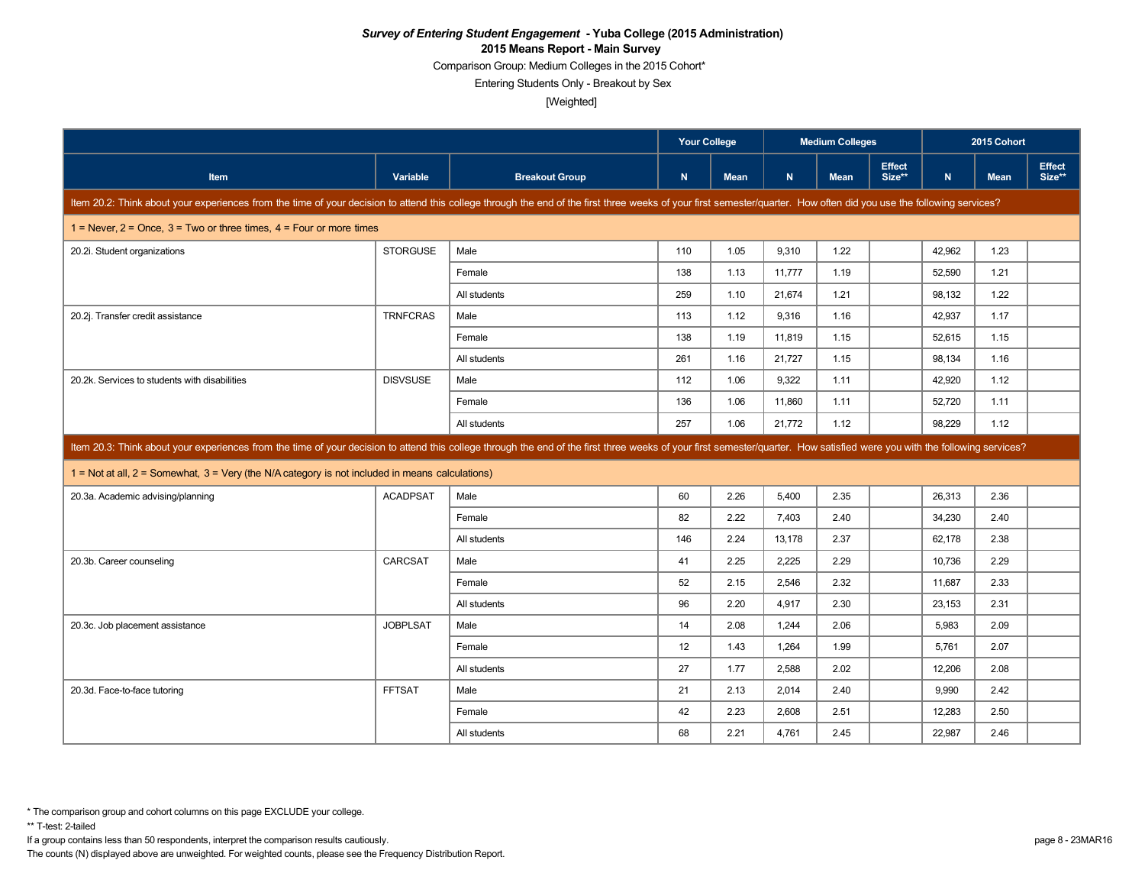Comparison Group: Medium Colleges in the 2015 Cohort\*

Entering Students Only - Breakout by Sex

[Weighted]

|                                                                                                                                                                                                                            |                 |                       | <b>Your College</b> |             |        | <b>Medium Colleges</b> |                         |        | 2015 Cohort |                         |
|----------------------------------------------------------------------------------------------------------------------------------------------------------------------------------------------------------------------------|-----------------|-----------------------|---------------------|-------------|--------|------------------------|-------------------------|--------|-------------|-------------------------|
| <b>Item</b>                                                                                                                                                                                                                | Variable        | <b>Breakout Group</b> | N.                  | <b>Mean</b> | N      | <b>Mean</b>            | <b>Effect</b><br>Size** | N      | <b>Mean</b> | <b>Effect</b><br>Size** |
| Item 20.2: Think about your experiences from the time of your decision to attend this college through the end of the first three weeks of your first semester/quarter. How often did you use the following services?       |                 |                       |                     |             |        |                        |                         |        |             |                         |
| 1 = Never, $2$ = Once, $3$ = Two or three times, $4$ = Four or more times                                                                                                                                                  |                 |                       |                     |             |        |                        |                         |        |             |                         |
| 20.2i. Student organizations                                                                                                                                                                                               | <b>STORGUSE</b> | Male                  | 110                 | 1.05        | 9.310  | 1.22                   |                         | 42,962 | 1.23        |                         |
|                                                                                                                                                                                                                            |                 | Female                | 138                 | 1.13        | 11,777 | 1.19                   |                         | 52,590 | 1.21        |                         |
|                                                                                                                                                                                                                            |                 | All students          | 259                 | 1.10        | 21,674 | 1.21                   |                         | 98,132 | 1.22        |                         |
| 20.2j. Transfer credit assistance                                                                                                                                                                                          | <b>TRNFCRAS</b> | Male                  | 113                 | 1.12        | 9,316  | 1.16                   |                         | 42,937 | 1.17        |                         |
|                                                                                                                                                                                                                            |                 | Female                | 138                 | 1.19        | 11,819 | 1.15                   |                         | 52,615 | 1.15        |                         |
|                                                                                                                                                                                                                            |                 | All students          | 261                 | 1.16        | 21,727 | 1.15                   |                         | 98,134 | 1.16        |                         |
| 20.2k. Services to students with disabilities                                                                                                                                                                              | <b>DISVSUSE</b> | Male                  | 112                 | 1.06        | 9,322  | 1.11                   |                         | 42,920 | 1.12        |                         |
|                                                                                                                                                                                                                            |                 | Female                | 136                 | 1.06        | 11,860 | 1.11                   |                         | 52,720 | 1.11        |                         |
|                                                                                                                                                                                                                            |                 | All students          | 257                 | 1.06        | 21,772 | 1.12                   |                         | 98.229 | 1.12        |                         |
| Item 20.3: Think about your experiences from the time of your decision to attend this college through the end of the first three weeks of your first semester/quarter. How satisfied were you with the following services? |                 |                       |                     |             |        |                        |                         |        |             |                         |
| $1 =$ Not at all, $2 =$ Somewhat, $3 =$ Very (the N/A category is not included in means calculations)                                                                                                                      |                 |                       |                     |             |        |                        |                         |        |             |                         |
| 20.3a. Academic advising/planning                                                                                                                                                                                          | <b>ACADPSAT</b> | Male                  | 60                  | 2.26        | 5,400  | 2.35                   |                         | 26,313 | 2.36        |                         |
|                                                                                                                                                                                                                            |                 | Female                | 82                  | 2.22        | 7,403  | 2.40                   |                         | 34,230 | 2.40        |                         |
|                                                                                                                                                                                                                            |                 | All students          | 146                 | 2.24        | 13,178 | 2.37                   |                         | 62,178 | 2.38        |                         |
| 20.3b. Career counseling                                                                                                                                                                                                   | CARCSAT         | Male                  | 41                  | 2.25        | 2,225  | 2.29                   |                         | 10,736 | 2.29        |                         |
|                                                                                                                                                                                                                            |                 | Female                | 52                  | 2.15        | 2,546  | 2.32                   |                         | 11,687 | 2.33        |                         |
|                                                                                                                                                                                                                            |                 | All students          | 96                  | 2.20        | 4,917  | 2.30                   |                         | 23,153 | 2.31        |                         |
| 20.3c. Job placement assistance                                                                                                                                                                                            | <b>JOBPLSAT</b> | Male                  | 14                  | 2.08        | 1,244  | 2.06                   |                         | 5,983  | 2.09        |                         |
|                                                                                                                                                                                                                            |                 | Female                | 12                  | 1.43        | 1,264  | 1.99                   |                         | 5,761  | 2.07        |                         |
|                                                                                                                                                                                                                            |                 | All students          | 27                  | 1.77        | 2.588  | 2.02                   |                         | 12.206 | 2.08        |                         |
| 20.3d. Face-to-face tutoring                                                                                                                                                                                               | <b>FFTSAT</b>   | Male                  | 21                  | 2.13        | 2,014  | 2.40                   |                         | 9,990  | 2.42        |                         |
|                                                                                                                                                                                                                            |                 | Female                | 42                  | 2.23        | 2,608  | 2.51                   |                         | 12,283 | 2.50        |                         |
|                                                                                                                                                                                                                            |                 |                       |                     |             |        |                        |                         |        |             |                         |

If a group contains less than 50 respondents, interpret the comparison results cautiously. page 8 - 23MAR16

The counts (N) displayed above are unweighted. For weighted counts, please see the Frequency Distribution Report.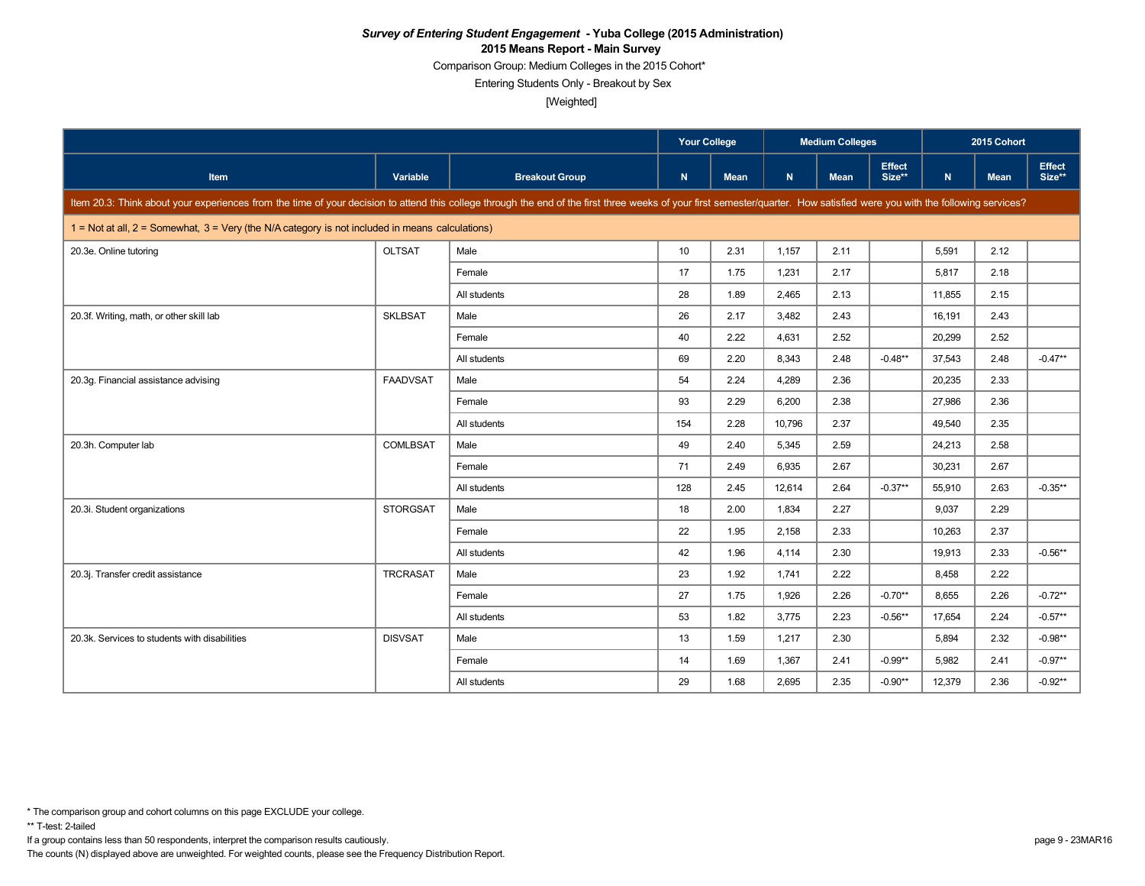Comparison Group: Medium Colleges in the 2015 Cohort\*

Entering Students Only - Breakout by Sex

[Weighted]

|                                                                                                                                                                                                                            |                 |                       | <b>Your College</b> |      | <b>Medium Colleges</b> |             |                  | 2015 Cohort  |             |                         |
|----------------------------------------------------------------------------------------------------------------------------------------------------------------------------------------------------------------------------|-----------------|-----------------------|---------------------|------|------------------------|-------------|------------------|--------------|-------------|-------------------------|
| Item                                                                                                                                                                                                                       | <b>Variable</b> | <b>Breakout Group</b> | N                   | Mean | N                      | <b>Mean</b> | Effect<br>Size** | $\mathsf{N}$ | <b>Mean</b> | <b>Effect</b><br>Size** |
| Item 20.3: Think about your experiences from the time of your decision to attend this college through the end of the first three weeks of your first semester/quarter. How satisfied were you with the following services? |                 |                       |                     |      |                        |             |                  |              |             |                         |
| $1 =$ Not at all, $2 =$ Somewhat, $3 =$ Very (the N/A category is not included in means calculations)                                                                                                                      |                 |                       |                     |      |                        |             |                  |              |             |                         |
| 20.3e. Online tutoring                                                                                                                                                                                                     | <b>OLTSAT</b>   | Male                  | 10                  | 2.31 | 1,157                  | 2.11        |                  | 5,591        | 2.12        |                         |
|                                                                                                                                                                                                                            |                 | Female                | 17                  | 1.75 | 1,231                  | 2.17        |                  | 5,817        | 2.18        |                         |
|                                                                                                                                                                                                                            |                 | All students          | 28                  | 1.89 | 2,465                  | 2.13        |                  | 11,855       | 2.15        |                         |
| 20.3f. Writing, math, or other skill lab                                                                                                                                                                                   | <b>SKLBSAT</b>  | Male                  | 26                  | 2.17 | 3,482                  | 2.43        |                  | 16,191       | 2.43        |                         |
|                                                                                                                                                                                                                            |                 | Female                | 40                  | 2.22 | 4,631                  | 2.52        |                  | 20,299       | 2.52        |                         |
|                                                                                                                                                                                                                            |                 | All students          | 69                  | 2.20 | 8.343                  | 2.48        | $-0.48**$        | 37.543       | 2.48        | $-0.47**$               |
| 20.3q. Financial assistance advising                                                                                                                                                                                       | <b>FAADVSAT</b> | Male                  | 54                  | 2.24 | 4,289                  | 2.36        |                  | 20,235       | 2.33        |                         |
|                                                                                                                                                                                                                            |                 | Female                | 93                  | 2.29 | 6,200                  | 2.38        |                  | 27.986       | 2.36        |                         |
|                                                                                                                                                                                                                            |                 | All students          | 154                 | 2.28 | 10,796                 | 2.37        |                  | 49,540       | 2.35        |                         |
| 20.3h. Computer lab                                                                                                                                                                                                        | <b>COMLBSAT</b> | Male                  | 49                  | 2.40 | 5,345                  | 2.59        |                  | 24,213       | 2.58        |                         |
|                                                                                                                                                                                                                            |                 | Female                | 71                  | 2.49 | 6,935                  | 2.67        |                  | 30,231       | 2.67        |                         |
|                                                                                                                                                                                                                            |                 | All students          | 128                 | 2.45 | 12,614                 | 2.64        | $-0.37**$        | 55,910       | 2.63        | $-0.35**$               |
| 20.3i. Student organizations                                                                                                                                                                                               | <b>STORGSAT</b> | Male                  | 18                  | 2.00 | 1,834                  | 2.27        |                  | 9,037        | 2.29        |                         |
|                                                                                                                                                                                                                            |                 | Female                | 22                  | 1.95 | 2,158                  | 2.33        |                  | 10,263       | 2.37        |                         |
|                                                                                                                                                                                                                            |                 | All students          | 42                  | 1.96 | 4,114                  | 2.30        |                  | 19,913       | 2.33        | $-0.56**$               |
| 20.3j. Transfer credit assistance                                                                                                                                                                                          | <b>TRCRASAT</b> | Male                  | 23                  | 1.92 | 1.741                  | 2.22        |                  | 8,458        | 2.22        |                         |
|                                                                                                                                                                                                                            |                 | Female                | 27                  | 1.75 | 1,926                  | 2.26        | $-0.70**$        | 8.655        | 2.26        | $-0.72**$               |
|                                                                                                                                                                                                                            |                 | All students          | 53                  | 1.82 | 3.775                  | 2.23        | $-0.56**$        | 17,654       | 2.24        | $-0.57**$               |
| 20.3k. Services to students with disabilities                                                                                                                                                                              | <b>DISVSAT</b>  | Male                  | 13                  | 1.59 | 1,217                  | 2.30        |                  | 5.894        | 2.32        | $-0.98**$               |
|                                                                                                                                                                                                                            |                 | Female                | 14                  | 1.69 | 1,367                  | 2.41        | $-0.99**$        | 5,982        | 2.41        | $-0.97**$               |
|                                                                                                                                                                                                                            |                 | All students          | 29                  | 1.68 | 2,695                  | 2.35        | $-0.90**$        | 12,379       | 2.36        | $-0.92**$               |

If a group contains less than 50 respondents, interpret the comparison results cautiously. page 9 - 23MAR16